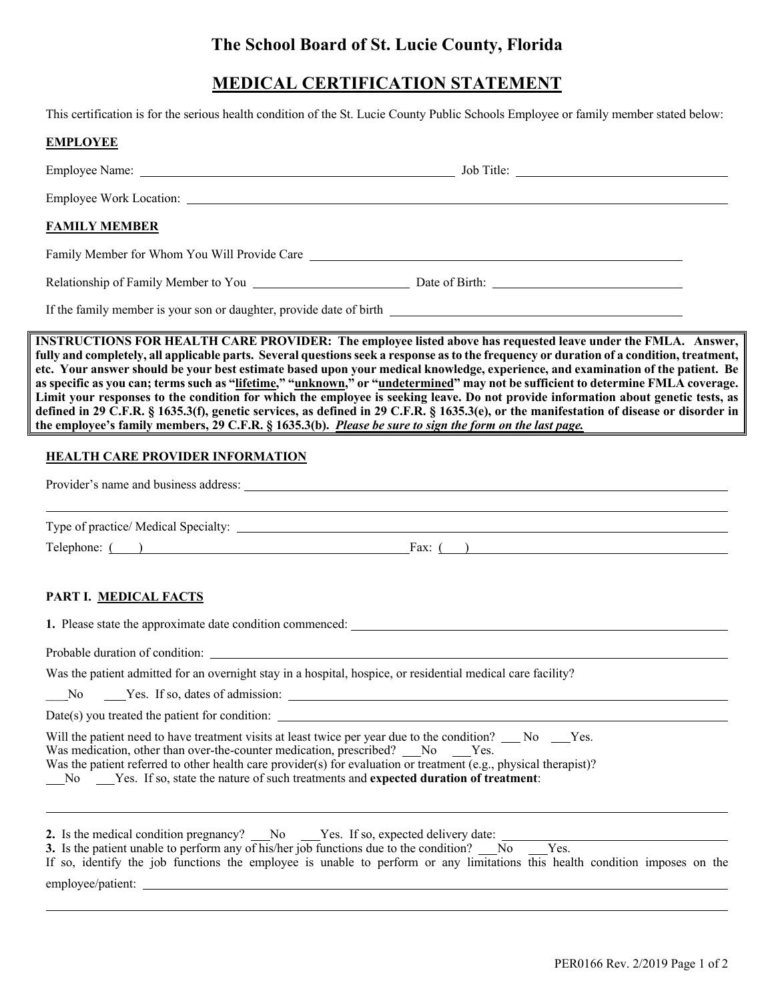## **The School Board of St. Lucie County, Florida**

## **MEDICAL CERTIFICATION STATEMENT**

This certification is for the serious health condition of the St. Lucie County Public Schools Employee or family member stated below:

| <b>EMPLOYEE</b>                                                                                                                                                             |                                                                                                                                                                                                                                                                                                                                                                                                                                                                                                                                                                                                                                                                                                                                                                                                                 |
|-----------------------------------------------------------------------------------------------------------------------------------------------------------------------------|-----------------------------------------------------------------------------------------------------------------------------------------------------------------------------------------------------------------------------------------------------------------------------------------------------------------------------------------------------------------------------------------------------------------------------------------------------------------------------------------------------------------------------------------------------------------------------------------------------------------------------------------------------------------------------------------------------------------------------------------------------------------------------------------------------------------|
|                                                                                                                                                                             |                                                                                                                                                                                                                                                                                                                                                                                                                                                                                                                                                                                                                                                                                                                                                                                                                 |
|                                                                                                                                                                             |                                                                                                                                                                                                                                                                                                                                                                                                                                                                                                                                                                                                                                                                                                                                                                                                                 |
| <b>FAMILY MEMBER</b>                                                                                                                                                        |                                                                                                                                                                                                                                                                                                                                                                                                                                                                                                                                                                                                                                                                                                                                                                                                                 |
|                                                                                                                                                                             | Family Member for Whom You Will Provide Care ___________________________________                                                                                                                                                                                                                                                                                                                                                                                                                                                                                                                                                                                                                                                                                                                                |
|                                                                                                                                                                             | Relationship of Family Member to You Date of Birth: 2008 [19] Date of Birth:                                                                                                                                                                                                                                                                                                                                                                                                                                                                                                                                                                                                                                                                                                                                    |
|                                                                                                                                                                             |                                                                                                                                                                                                                                                                                                                                                                                                                                                                                                                                                                                                                                                                                                                                                                                                                 |
| the employee's family members, 29 C.F.R. § 1635.3(b). Please be sure to sign the form on the last page.                                                                     | INSTRUCTIONS FOR HEALTH CARE PROVIDER: The employee listed above has requested leave under the FMLA. Answer,<br>fully and completely, all applicable parts. Several questions seek a response as to the frequency or duration of a condition, treatment,<br>etc. Your answer should be your best estimate based upon your medical knowledge, experience, and examination of the patient. Be<br>as specific as you can; terms such as "lifetime," "unknown," or "undetermined" may not be sufficient to determine FMLA coverage.<br>Limit your responses to the condition for which the employee is seeking leave. Do not provide information about genetic tests, as<br>defined in 29 C.F.R. § 1635.3(f), genetic services, as defined in 29 C.F.R. § 1635.3(e), or the manifestation of disease or disorder in |
| <b>HEALTH CARE PROVIDER INFORMATION</b>                                                                                                                                     |                                                                                                                                                                                                                                                                                                                                                                                                                                                                                                                                                                                                                                                                                                                                                                                                                 |
|                                                                                                                                                                             |                                                                                                                                                                                                                                                                                                                                                                                                                                                                                                                                                                                                                                                                                                                                                                                                                 |
|                                                                                                                                                                             |                                                                                                                                                                                                                                                                                                                                                                                                                                                                                                                                                                                                                                                                                                                                                                                                                 |
|                                                                                                                                                                             |                                                                                                                                                                                                                                                                                                                                                                                                                                                                                                                                                                                                                                                                                                                                                                                                                 |
|                                                                                                                                                                             | Telephone: ( ) Fax: ( )                                                                                                                                                                                                                                                                                                                                                                                                                                                                                                                                                                                                                                                                                                                                                                                         |
| PART I. MEDICAL FACTS                                                                                                                                                       |                                                                                                                                                                                                                                                                                                                                                                                                                                                                                                                                                                                                                                                                                                                                                                                                                 |
|                                                                                                                                                                             |                                                                                                                                                                                                                                                                                                                                                                                                                                                                                                                                                                                                                                                                                                                                                                                                                 |
|                                                                                                                                                                             |                                                                                                                                                                                                                                                                                                                                                                                                                                                                                                                                                                                                                                                                                                                                                                                                                 |
| Was the patient admitted for an overnight stay in a hospital, hospice, or residential medical care facility?                                                                |                                                                                                                                                                                                                                                                                                                                                                                                                                                                                                                                                                                                                                                                                                                                                                                                                 |
| No Yes. If so, dates of admission:                                                                                                                                          |                                                                                                                                                                                                                                                                                                                                                                                                                                                                                                                                                                                                                                                                                                                                                                                                                 |
| Date(s) you treated the patient for condition: $\overline{\phantom{a}}$                                                                                                     |                                                                                                                                                                                                                                                                                                                                                                                                                                                                                                                                                                                                                                                                                                                                                                                                                 |
| Was medication, other than over-the-counter medication, prescribed? ___No ___Yes.<br>No Yes. If so, state the nature of such treatments and expected duration of treatment: | Will the patient need to have treatment visits at least twice per year due to the condition? ___ No ____Yes.<br>Was the patient referred to other health care provider(s) for evaluation or treatment (e.g., physical therapist)?                                                                                                                                                                                                                                                                                                                                                                                                                                                                                                                                                                               |
| 3. Is the patient unable to perform any of his/her job functions due to the condition? No Yes.                                                                              | 2. Is the medical condition pregnancy? No Yes. If so, expected delivery date:<br>If so, identify the job functions the employee is unable to perform or any limitations this health condition imposes on the                                                                                                                                                                                                                                                                                                                                                                                                                                                                                                                                                                                                    |